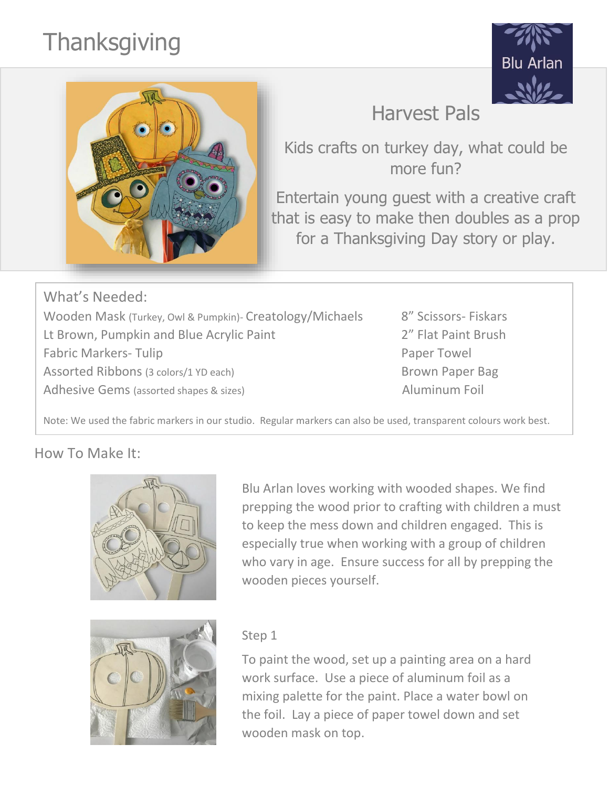# **Thanksgiving**





Kids crafts on turkey day, what could be more fun?

Entertain young guest with a creative craft that is easy to make then doubles as a prop for a Thanksgiving Day story or play.

What's Needed: Wooden Mask (Turkey, Owl & Pumpkin)- Creatology/Michaels 8" Scissors- Fiskars Lt Brown, Pumpkin and Blue Acrylic Paint **1988** 2<sup>"</sup> Flat Paint Brush Fabric Markers- Tulip **Paper Towel** Assorted Ribbons (3 colors/1 YD each) Brown Paper Bag Adhesive Gems (assorted shapes & sizes) Aluminum Foil

Note: We used the fabric markers in our studio. Regular markers can also be used, transparent colours work best.

### How To Make It:



Blu Arlan loves working with wooded shapes. We find prepping the wood prior to crafting with children a must to keep the mess down and children engaged. This is especially true when working with a group of children who vary in age. Ensure success for all by prepping the wooden pieces yourself.



#### Step 1

To paint the wood, set up a painting area on a hard work surface. Use a piece of aluminum foil as a mixing palette for the paint. Place a water bowl on the foil. Lay a piece of paper towel down and set wooden mask on top.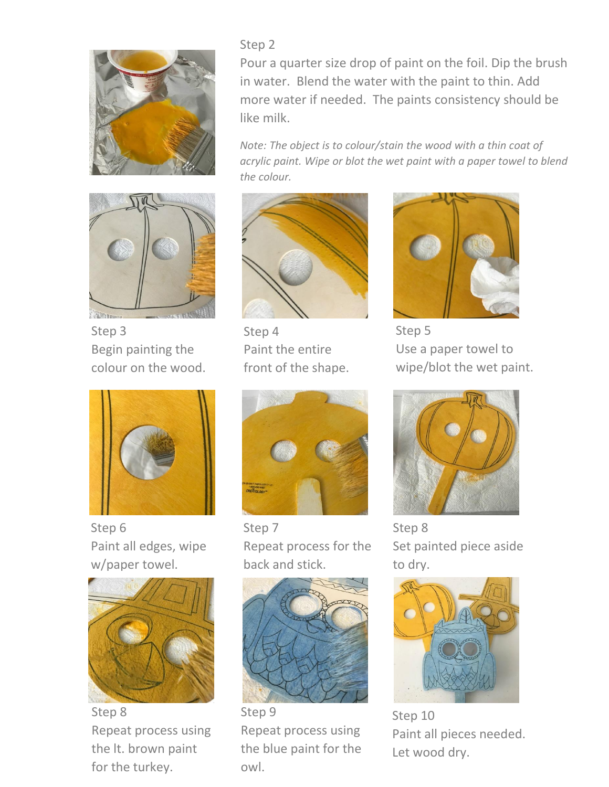



Step 3 Begin painting the colour on the wood.



Step 6 Paint all edges, wipe w/paper towel.



Step 8 Repeat process using the lt. brown paint for the turkey.

#### Step 2

Pour a quarter size drop of paint on the foil. Dip the brush in water. Blend the water with the paint to thin. Add more water if needed. The paints consistency should be like milk.

*Note: The object is to colour/stain the wood with a thin coat of acrylic paint. Wipe or blot the wet paint with a paper towel to blend the colour.*



Step 4 Paint the entire front of the shape.



Step 7 Repeat process for the back and stick.



Repeat process using the blue paint for the owl.



Step 5 Use a paper towel to wipe/blot the wet paint.



Step 8 Set painted piece aside to dry.



Step 10 Paint all pieces needed. Let wood dry.